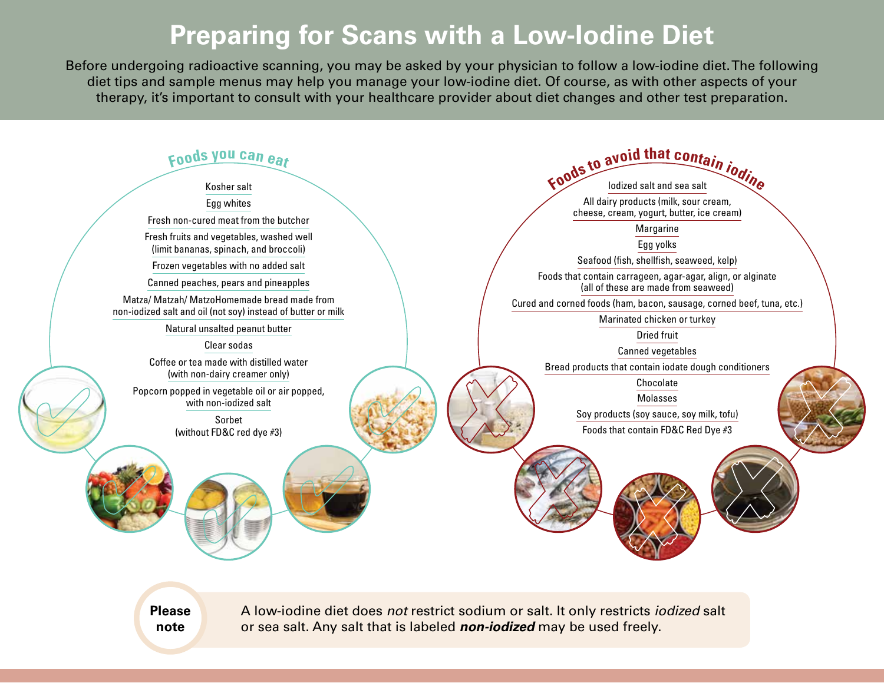## **Preparing for Scans with a Low-Iodine Diet**

Before undergoing radioactive scanning, you may be asked by your physician to follow a low-iodine diet. The following diet tips and sample menus may help you manage your low-iodine diet. Of course, as with other aspects of your therapy, it's important to consult with your healthcare provider about diet changes and other test preparation.



**Please note**

A low-iodine diet does *not* restrict sodium or salt. It only restricts *iodized* salt or sea salt. Any salt that is labeled *non-iodized* may be used freely.